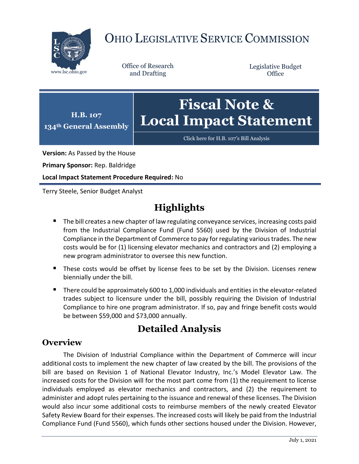

# OHIO LEGISLATIVE SERVICE COMMISSION

Office of Research

Legislative Budget **Office** 

**134th General Assembly Fiscal Note & Local Impact Statement**

[Click here for H.B. 107](https://www.legislature.ohio.gov/legislation/legislation-documents?id=GA134-HB-107)'s Bill Analysis

**Version:** As Passed by the House

**H.B. 107**

**Primary Sponsor:** Rep. Baldridge

**Local Impact Statement Procedure Required:** No

Terry Steele, Senior Budget Analyst

## **Highlights**

- The bill creates a new chapter of law regulating conveyance services, increasing costs paid from the Industrial Compliance Fund (Fund 5560) used by the Division of Industrial Compliance in the Department of Commerce to pay for regulating various trades. The new costs would be for (1) licensing elevator mechanics and contractors and (2) employing a new program administrator to oversee this new function.
- These costs would be offset by license fees to be set by the Division. Licenses renew biennially under the bill.
- There could be approximately 600 to 1,000 individuals and entities in the elevator-related trades subject to licensure under the bill, possibly requiring the Division of Industrial Compliance to hire one program administrator. If so, pay and fringe benefit costs would be between \$59,000 and \$73,000 annually.

### **Detailed Analysis**

#### **Overview**

The Division of Industrial Compliance within the Department of Commerce will incur additional costs to implement the new chapter of law created by the bill. The provisions of the bill are based on Revision 1 of National Elevator Industry, Inc.'s Model Elevator Law. The increased costs for the Division will for the most part come from (1) the requirement to license individuals employed as elevator mechanics and contractors, and (2) the requirement to administer and adopt rules pertaining to the issuance and renewal of these licenses. The Division would also incur some additional costs to reimburse members of the newly created Elevator Safety Review Board for their expenses. The increased costs will likely be paid from the Industrial Compliance Fund (Fund 5560), which funds other sections housed under the Division. However,